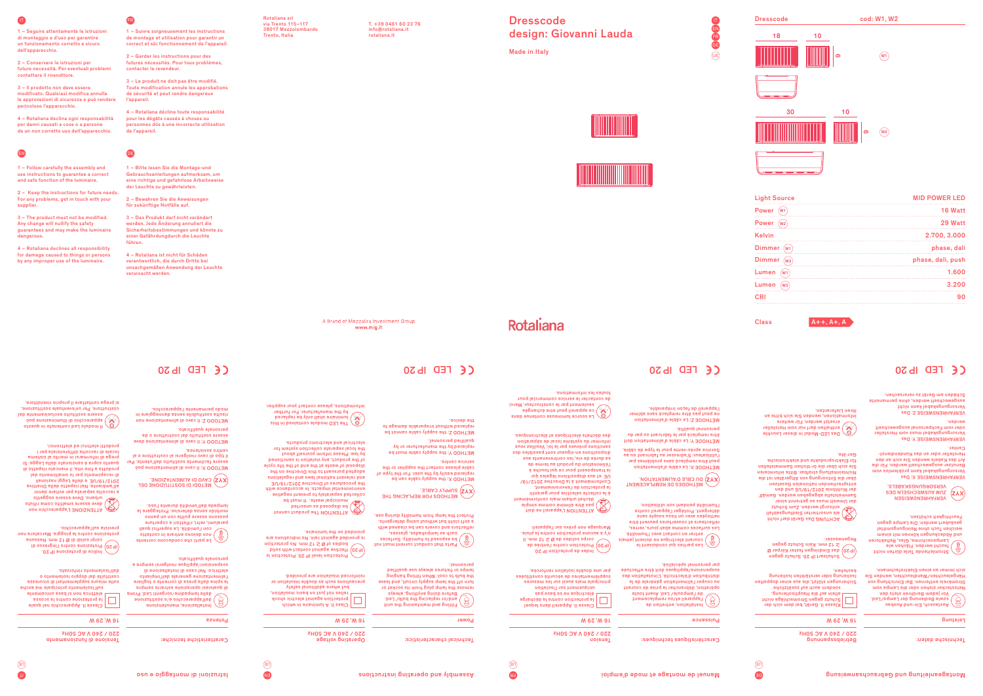Installation, entretien de l'appareil et/ou remplacement de l'ampoule/ Led. Avant toute opération, de l'ampule/ Led. Avant toute ou couper l'alimentation générale de la distribution d'électricité. L'installation des suspensions/appliques doit être effectuée

### **Puissance**

Klasse II. Gerät, bei dem sich der ausiu

Sicherungen stützt, die aus einer doppelten Isolierung oder verstärkten Isolierung bestehen.

par personnel spécialisé.

| sougeus ancy snaggiguous                |  |
|-----------------------------------------|--|
| Jallein auf die Hauptisolierung,        |  |
| Schutz gegen Stromschläge ni            |  |
| $\mid$ Klasse II. Gerät, bei dem sich c |  |
|                                         |  |
|                                         |  |

≥ 12 mm. Kein Schutz gegen

Regenwasser. ACHTUNG Das Gerät darf nicht

als unsortierter Siedlungsabfall entsorgt werden. Zum Schutz

**Dresscode** design: Giovanni Lauda

> entsprechenden nationalen Gesetzen über die Entsorgung von Altgeräten ist die Nichteinhaltung strafbar. Bitte informieren

turn off the lamp supply circuit, and leave the bulb to cool. When fitting hanging lamps or fixtures always use qualified Farts that conduct current must not that conduct  $\begin{pmatrix} \frac{\partial \phi}{\partial x} & \frac{\partial \phi}{\partial y} & \frac{\partial \phi}{\partial x} \\ \frac{\partial \phi}{\partial y} & \frac{\partial \phi}{\partial x} & \frac{\partial \phi}{\partial y} & \frac{\partial \phi}{\partial x} \end{pmatrix}$ 

Sie sich über die ör-tlichen Sammelstellen für Elektroprodukte und elektronische Das LED-Modul in dieser Leuchte enthalten darf nur vom Hersteller

Ger-äte.

Installazione, manutenzione o sostituzione / dell'apparecchio e sorgenti Led. Prima / delle lampadine di qualsiasi operazione estrarre sempre la spina dalla presa di corrente o togliere l'alimentazione generale dell'impianto elettrico. Nel caso di installazione di appensioni, applique rivolgersi sempre a

ersetzt werden. Für weitere Informationen, wenden Sie sich bitte an

# Ihren Lieferanten.

Austausch, Ein-und Ausbau sowie Bedienung der Lampe/Led. Vor jedem Berühren stets den

**Bunisien** 

Netzstecker ziehen oder die Lampe vom Stromkreis entfernen. Bei Einrichtung von Hängeleuchten/Wandleuchten, wenden Sie sich immer an einen Elektrofachmann.

EN FR DE

 $(E)$ 

Made in Italy



# Rotaliana

Rotaliana srl via Trento 115–117 38017 Mezzolombardo Trento, Italia

T. +39 0461 60 23 76 info@rotaliana.it rotaliana.it

> IP 20. Index de protection IP 20.<br>Protection contre l'entré de D<br>Il .mm 21 ≤ **⊠** eb aebiloe aqnos<br>Il .mm 21 ≤ **⊠** eb aebiloe aqnos n'y a aucune protection contre la pluie. Marquage non prévu sur l'appareil.

eis anoitabibni oll inist tanispa bebivorq ai provided on the luminaire.



Fitting and maintaining the unit and/or replacing the bulb/ Led. Before doing anything, always remove the lamp plug from its socket or

personnel.

Classe II. Appareil dans lequel la protection contre la décharge électrique ne se base pas uongiosi. I lins sue mentium principale mais aussi sur les mesures seeninsuos enunces en segueireus constituées par une double isolation renforcée.

ATTENZIONE L'apparecchio non deve essere smaltito come rifiuto urbano. Deve essere soggetto innsb enstive 1eq stanges stlopper s all'ambiente. Nel rispetto della Direttiva 2012/19/UE e delle Leggi nazionali di recepimento per lo smaltimento del prodotto a fine vita, il mancato rispetto di quanto sopra è sanzionato dalla Legge. Si prega di informarsi in merito al sistema locale di raccolta differenziata per i prodotti elettrici ed elettronici.

> Class II. A luminaire in which protection against electric shock relies not just on basic insulation, but where additional safety precautions such as double insulation or

Classe II. Apparecchio nel quale la protezione contro la scossa

elettrica non si basa unicamente sull'isolamento principale ma anche sulle misure supplementari di sicurezza costituite dal doppio isolamento o dall'isolamento rinforzato.

reinforced insulation are provided. Protection level IP 20. Protection is

der Umwelt muss es getrennt einer der Bronden.<br>Was der Richtlinie abgegeben werden. Gemäßte abgegeben werden. Die der Richtlinie abgegeben werden. Die der Richtlinie abgegeben werden. Die der Richtlinie Schwarzen werden. D VERFAHRENSWEISEN ZUM AUSWECHSELN DES VERSORGUNGSKABELS.

Indice di protezione IP 20. Protezione contro l'ingresso di corpi solidi di Ø 12 mm. Nessuna protezione contro la pioggia. Marcatura non prevista sull'apparecchio.

ATTENTION L'appareil ne doit pas être éliminé comme simple déchet urbain mais conformément

à la collecte sélective pour garantir la protection de l'environnement. Conformément à la Directive 2012/19/ UE et aux dispositions légales du la transposent pour ce qui touche à l'élimination du produit au terme de sa durée de vie, les contrevenants aux dispositions en vigueur sont passibles des sanctions prévues par la loi. Veuillez vous informer du système local de séparation des déchets électriques et électroniques.

Tensione di funzionamento 220 / 240 V AC 50Hz

) be exposed to humidity. Surfaces such as lampshages, glasses, reflectors and covers can be cleaned with a soft cloth but without using determined that the set

Schutzart IP 20. Schutz gegen das Eindringen fester Körper Ø IP 20

ATTENTION The product cannot be disposed as unsorted

municipal waste. It must be collected separately to prevent negative environmental impacts. In accordance with the procedures of Directive 2012/19/UE and relevant national laws and regulations adopted pursuant to this Directive on the disposal of waste at the end of the life cycle of the product, any violation is sanctioned by law. Please inform yourself about the local separate collection system for electrical and electronic products.

1 – Seguire attentamente le istruzioni di montaggio e d'uso per garantire un funzionamento corretto e sicuro ell'apparecchio

3 – Il prodotto non deve essere modificato. Qualsiasi modifica annulla le approvazioni di sicurezza e può rendere eraloso l'apparecchio.

2 – Keep the instructions for future needs. For any problems, get in touch with your supplier

> personale qualificato. ffective against contact with solid bodies of Ø ≥ 12 mm. No protection IP 20 IP 20 Le parti che conducono corrente non devono entrare in contatto

1 – Suivre soigneusement les instructions de montage et utilisation pour garantir un correct et sûr fonctionnement de l'appareil

de contacter le service commercial pour

toutes les informations.

The LED module contained in this luminaire shall only be replaced by the manufacturer. For further informations, please contact your supplier.

A Brand of Mezzalira Investment Group

www.mig.it

Il modulo Led contenuto in questo apparecchio di illuminazione può es estere societat.<br>Internacionale distribuito esclusivamente dal costruttore. Per un'eventuale sostituzione, si prega contattare il proprio rivenditore.

> Stromleitende Teile dürfen nicht feucht werden. Flächen wie Lampenschirme, Glas, Reflektoren und Abdeckungen können mit einem<br>سے chenservien wit einem weichen Tuch ohne Reinigungsmittel gesäubert werden. Die Lampe gegen

Feuchtigkeit schützen.

Les parties qui conduisent le courant électrique ne doivent jamais entrer en contact avec l'humidité. Les surfaces comme abat-jours, verres, réflecteurs et couvertures peuvent être nettoyées avec un tissu souple sans détergent. Protéger l'appareil contre l'humidité pendant son utilisation.

La source lumineuse contenue dans ce appareil peut etre échangée seulement par le constructeur. Merci METHOD Z: the supply cable cannot be replaced without irreparable damage to the device.

> MÉTHODE X: Le câble d'alimentation peut être remplacé sans problèmes par l'utilisateur. S'adresser au fabricant ou au

**XYZ)** DU CBLE D'ALIMENTATION.<br>∕∕ MÉTHODES DE REMPLACEMENT

Service après-vente pour le type de câble. MÉTHODE Y: Le câble d'alimentation doit être remplacé par le fabricant ou par du

personnel qualifié. MÉTHODE Z: Le câble d'alimentation ne peut pas être remplacé sans abîmer l'appareil de façon irréparable.

METHODS FOR REPLACING THE SUPPLY CABLE.

METHOD X: the supply cable can be replaced easily by the user. For the type of cable please contact the supplier or the

service centre.

METHOD Y: the supply cable must be replaced by the manufacturer or by

qualified personnel.

VERFAHRENSWEISE X: Das Versorgungskabel kann problemlos vom Benutzer ausgewechselt werden. Für die Art des Kabels wenden Sie sich an den Hersteller oder an das Kundendienst-

Center.

VERFAHRENSWEISE Y: Das Versorgungskabel muss vom Hersteller oder vom Fachpersonal ausgewechselt werden.

VERFAHRENSWEISE Z: Das Versorgungskabel kann nicht ausgewechselt werden, ohne permanente Schäden am Gerät zu verursachen.

CE FED ID 20

con l'umidità. Le superfici quali paralumi, vetri, riflettori e coperture posso e con un banque con un banque con morbido senza detersivo. Proteggere la lampada dall'umidità durante l'uso.

Technische daten:

Betriebsspannung



Caractéristiques techniques:

16 W, 29 W

uoisue 220 / 240 V AC 50Hz

Technical characteristics:

Power

Operating voltage 220 / 240 V AC 50Hz

16 W, 29 W

Caratteristiche tecniche:

Potenza

### 16 W, 29 W

Protect the lamp from humidity during use.

METODO X: Il cavo di alimentazione può essere facilmente sostituito dall'utente. Per il tipo di cavo rivolgersi al costruttore o al centro assistenza. METODO Y: Il cavo di alimentazione deve

> WELODI DI 2021ILOZIONE DEL **XYZ) CAVO DI ALIMENTAZIONE.**

essere sostituito dal costruttore o da personale qualificato. METODO Z: Il cavo di alimentazione non risulta sostituibile senza danneggiare in modo permanente l'apparecchio.





18 10

 $\circled{w_1}$ 



ග

# IP 20 LED IP 20 LED IP 20 LED IP 20

## EN

FR

DE

2 – Conservare le istruzioni per future necessità. Per eventuali problemi contattare il rivenditore.

4 – Rotaliana declina ogni responsabilità per danni causati a cose o a persone da un non corretto uso dell'apparecchio.

1 – Follow carefully the assembly and use instructions to guarantee a correct and safe function of the luminaire.

3 – The product must not be modified. Any change will nullify the safety guarantees and may make the luminaire dangerous.

4 – Rotaliana declines all responsibility for damage caused to things or persons by any improper use of the luminaire.

2 – Garder les instructions pour des futures nécessités. Pour tous problèmes, contacter le revendeur.

3 – Le produit ne doit pas être modifié. Toute modification annule les approbations de sécurité et peut rendre dangereux l'appareil.

4 – Rotaliana décline toute responsabilité pour les dégâts causés à choses ou personnes dûs à une incorrecte utilisation de l'appareil.

1 – Bitte lesen Sie die Montage-und Gebrauchsanleitungen aufmerksam, um eine richtige und gefahrlose Arbeitsweise der Leuchte zu gewährleisten.

2 – Bewahren Sie die Anweisungen für zukünftige Notfälle auf.

3 – Das Produkt darf nicht verändert werden. Jede Änderung annuliert die Sicherheitsbestimmungen und könnte zu einer Gefährdungdurch die Leuchte führen.

4 – Rotaliana ist nicht für Schäden verantwortlich, die durch Dritte bei unsachgemäßen Anwendung der Leuchte verursacht werden.